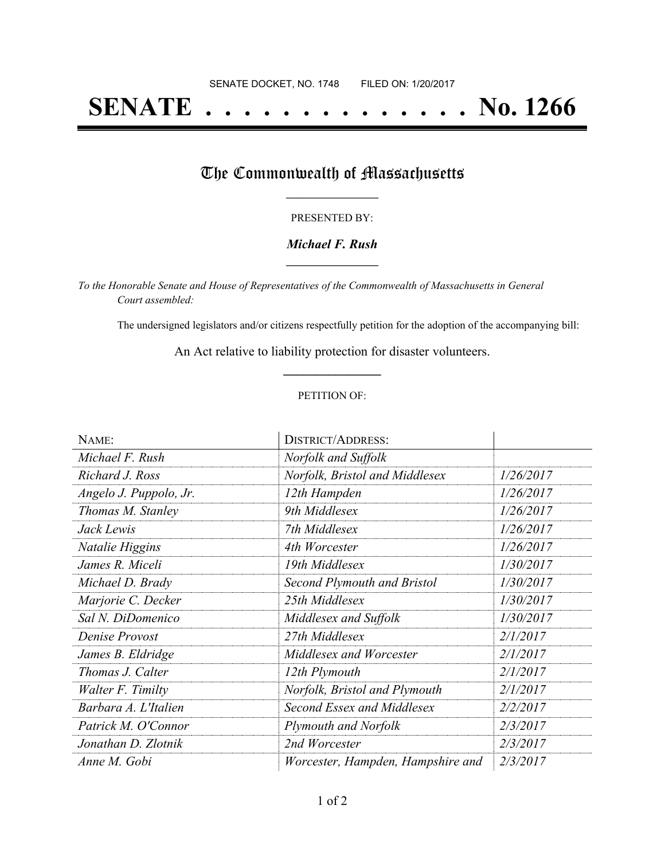# **SENATE . . . . . . . . . . . . . . No. 1266**

## The Commonwealth of Massachusetts

#### PRESENTED BY:

#### *Michael F. Rush* **\_\_\_\_\_\_\_\_\_\_\_\_\_\_\_\_\_**

*To the Honorable Senate and House of Representatives of the Commonwealth of Massachusetts in General Court assembled:*

The undersigned legislators and/or citizens respectfully petition for the adoption of the accompanying bill:

An Act relative to liability protection for disaster volunteers. **\_\_\_\_\_\_\_\_\_\_\_\_\_\_\_**

#### PETITION OF:

| NAME:                  | <b>DISTRICT/ADDRESS:</b>          |           |
|------------------------|-----------------------------------|-----------|
| Michael F. Rush        | Norfolk and Suffolk               |           |
| Richard J. Ross        | Norfolk, Bristol and Middlesex    | 1/26/2017 |
| Angelo J. Puppolo, Jr. | 12th Hampden                      | 1/26/2017 |
| Thomas M. Stanley      | 9th Middlesex                     | 1/26/2017 |
| Jack Lewis             | 7th Middlesex                     | 1/26/2017 |
| Natalie Higgins        | 4th Worcester                     | 1/26/2017 |
| James R. Miceli        | 19th Middlesex                    | 1/30/2017 |
| Michael D. Brady       | Second Plymouth and Bristol       | 1/30/2017 |
| Marjorie C. Decker     | 25th Middlesex                    | 1/30/2017 |
| Sal N. DiDomenico      | Middlesex and Suffolk             | 1/30/2017 |
| Denise Provost         | 27th Middlesex                    | 2/1/2017  |
| James B. Eldridge      | Middlesex and Worcester           | 2/1/2017  |
| Thomas J. Calter       | 12th Plymouth                     | 2/1/2017  |
| Walter F. Timilty      | Norfolk, Bristol and Plymouth     | 2/1/2017  |
| Barbara A. L'Italien   | Second Essex and Middlesex        | 2/2/2017  |
| Patrick M. O'Connor    | Plymouth and Norfolk              | 2/3/2017  |
| Jonathan D. Zlotnik    | 2nd Worcester                     | 2/3/2017  |
| Anne M. Gobi           | Worcester, Hampden, Hampshire and | 2/3/2017  |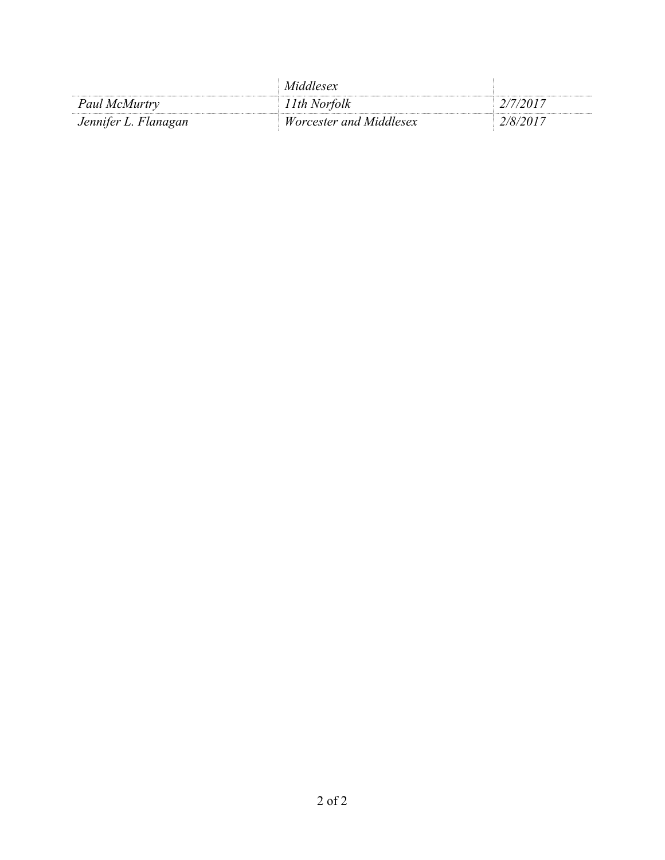|                      | Middlesex                      |          |
|----------------------|--------------------------------|----------|
| Paul McMurtry        | l 1th Norfolk                  | 2/7/2017 |
| Jennifer L. Flanagan | <i>Worcester and Middlesex</i> | 2/8/2017 |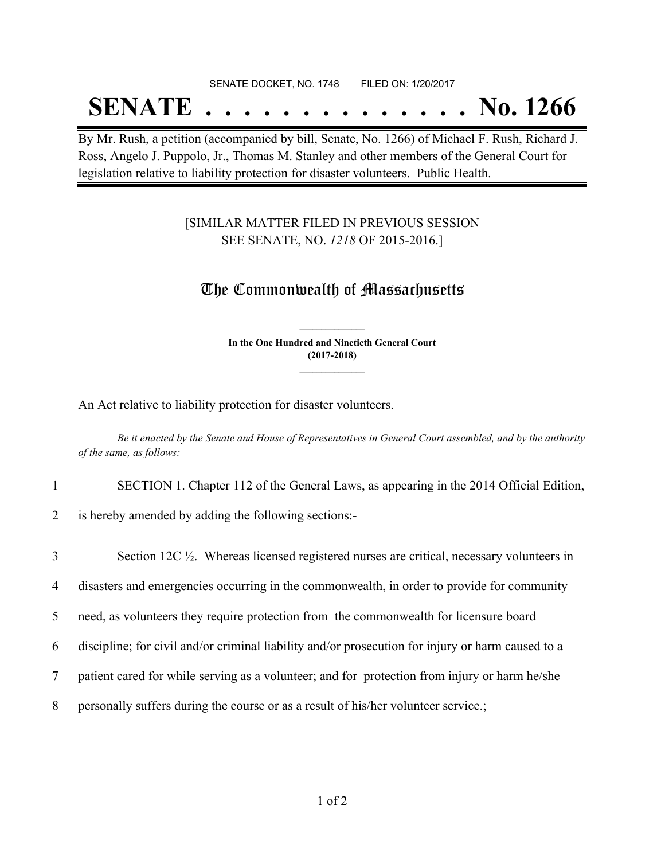#### SENATE DOCKET, NO. 1748 FILED ON: 1/20/2017

# **SENATE . . . . . . . . . . . . . . No. 1266**

By Mr. Rush, a petition (accompanied by bill, Senate, No. 1266) of Michael F. Rush, Richard J. Ross, Angelo J. Puppolo, Jr., Thomas M. Stanley and other members of the General Court for legislation relative to liability protection for disaster volunteers. Public Health.

### [SIMILAR MATTER FILED IN PREVIOUS SESSION SEE SENATE, NO. *1218* OF 2015-2016.]

### The Commonwealth of Massachusetts

**In the One Hundred and Ninetieth General Court (2017-2018) \_\_\_\_\_\_\_\_\_\_\_\_\_\_\_**

**\_\_\_\_\_\_\_\_\_\_\_\_\_\_\_**

An Act relative to liability protection for disaster volunteers.

Be it enacted by the Senate and House of Representatives in General Court assembled, and by the authority *of the same, as follows:*

1 SECTION 1. Chapter 112 of the General Laws, as appearing in the 2014 Official Edition,

2 is hereby amended by adding the following sections:-

| 3 | Section 12C 1/2. Whereas licensed registered nurses are critical, necessary volunteers in         |
|---|---------------------------------------------------------------------------------------------------|
| 4 | disasters and emergencies occurring in the commonwealth, in order to provide for community        |
| 5 | need, as volunteers they require protection from the commonwealth for licensure board             |
| 6 | discipline; for civil and/or criminal liability and/or prosecution for injury or harm caused to a |
| 7 | patient cared for while serving as a volunteer; and for protection from injury or harm he/she     |
| 8 | personally suffers during the course or as a result of his/her volunteer service.;                |